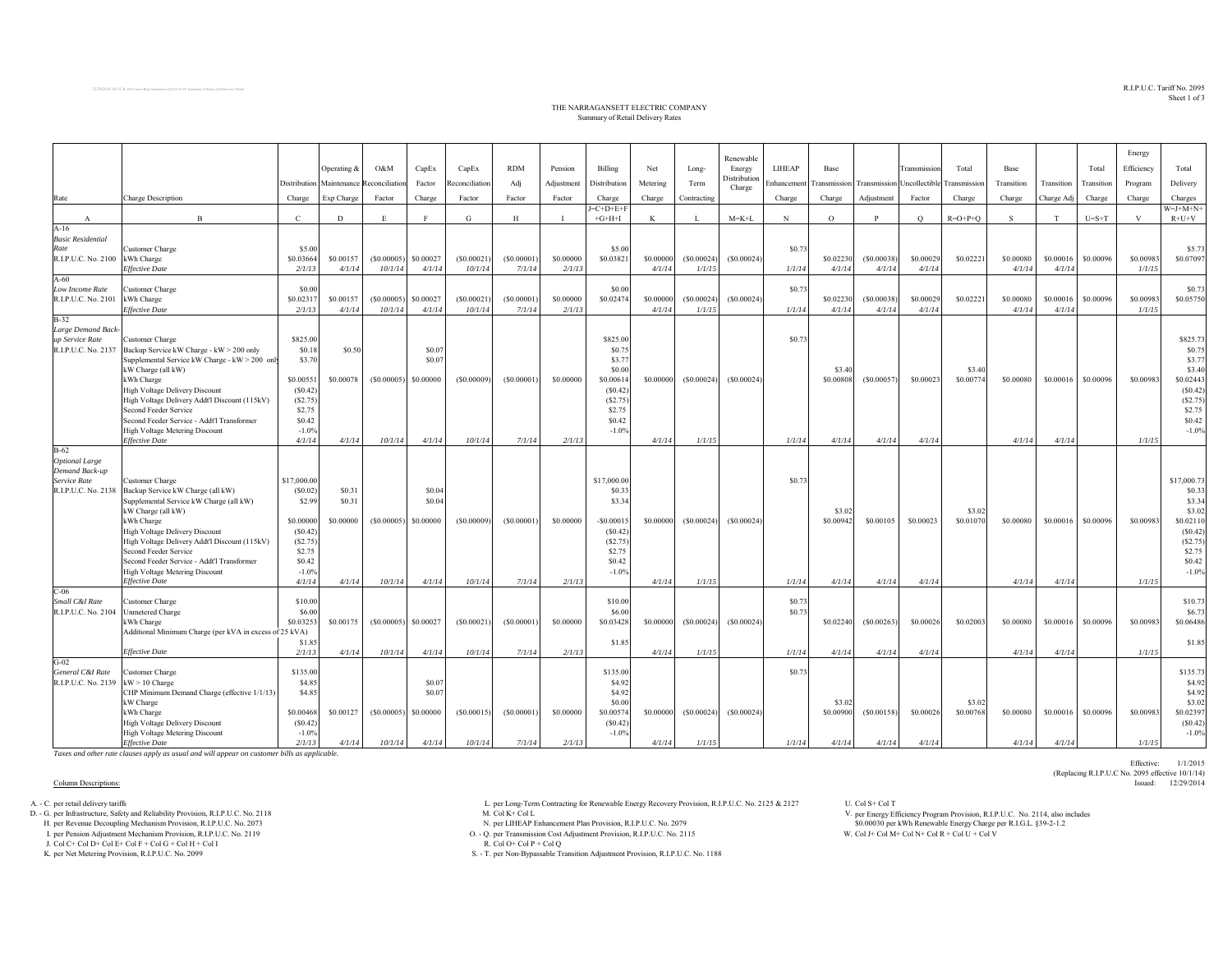$\mathrm{R.I.P.L.C.}$  Tariff  $\mathrm{No.}$   $2095$ Sheet 1 of 3

Effective: 1/1/2015

(Replacing R.I.P.U.C No. 2095 effective 10/1/14)

## THE NARRAGANSETT ELECTRIC COMPANY Summary of Retail Delivery Rates

|                                       |                                                         |              |                            |            |                        |                |            |            |              |           |             | Renewable              |             |                                                      |             |              |           |            |            |             | Energy     |                   |
|---------------------------------------|---------------------------------------------------------|--------------|----------------------------|------------|------------------------|----------------|------------|------------|--------------|-----------|-------------|------------------------|-------------|------------------------------------------------------|-------------|--------------|-----------|------------|------------|-------------|------------|-------------------|
|                                       |                                                         |              | Operating &                | O&M        | CapEx                  | CapEx          | <b>RDM</b> | Pension    | Billing      | Net       | Long-       | Energy<br>Distribution | LIHEAP      | Base                                                 |             | Transmission | Total     | Base       |            | Total       | Efficiency | Total             |
|                                       |                                                         | Distribution | Maintenance Reconciliation |            | Factor                 | Reconciliation | Adj        | Adjustment | Distribution | Metering  | Term        | Charge                 | Enhancement | Transmission Transmission Uncollectible Transmission |             |              |           | Transition | Transition | Transition  | Program    | Delivery          |
| Rate                                  | Charge Description                                      | Charge       | Exp Charge                 | Factor     | Charge                 | Factor         | Factor     | Factor     | Charge       | Charge    | Contracting |                        | Charge      | Charge                                               | Adjustment  | Factor       | Charge    | Charge     | Charge Adj | Charge      | Charge     | Charges           |
|                                       |                                                         |              |                            |            |                        |                |            |            | $=C+D+E+F$   |           |             |                        |             |                                                      |             |              |           |            |            |             |            | $W = J + M + N +$ |
| $\mathbf{A}$                          | $\overline{B}$                                          | $\mathbf{C}$ | D                          | E          | F                      | G              | H          |            | $+G+H+I$     | K         | L           | $M = K + L$            | N           | $\circ$                                              | P           | $\circ$      | $R=O+P+O$ | S.         | T          | $U = S + T$ | V          | $R+U+V$           |
| $A-16$                                |                                                         |              |                            |            |                        |                |            |            |              |           |             |                        |             |                                                      |             |              |           |            |            |             |            |                   |
| <b>Basic Residential</b>              |                                                         |              |                            |            |                        |                |            |            |              |           |             |                        |             |                                                      |             |              |           |            |            |             |            |                   |
| Rate                                  | Customer Charge                                         | \$5.00       |                            |            |                        |                |            |            | \$5.00       |           |             |                        | \$0.73      |                                                      |             |              |           |            |            |             |            | \$5.73            |
| R.I.P.U.C. No. 2100 kWh Charge        |                                                         | \$0.03664    | \$0.00157                  | (S0.00005) | \$0.00027              | (S0.00021)     | (S0.00001) | \$0,00000  | \$0.0382     | \$0,00000 | (S0.00024)  | (S0.00024)             |             | \$0.02230                                            | (S0.00038)  | \$0.00029    | \$0.02221 | \$0.00080  | \$0.00016  | \$0.00096   | \$0.00983  | \$0.07097         |
|                                       | <b>Effective Date</b>                                   | 2/1/13       | 4/1/14                     | 10/1/14    | 4/1/14                 | 10/1/14        | 7/1/14     | 2/1/13     |              | 4/1/14    | 1/1/15      |                        | 1/1/14      | 4/1/14                                               | 4/1/14      | 4/1/14       |           | 4/1/14     | 4/1/14     |             | 1/1/15     |                   |
| $A-60$                                |                                                         |              |                            |            |                        |                |            |            |              |           |             |                        |             |                                                      |             |              |           |            |            |             |            |                   |
| Low Income Rate                       | <b>Customer Charge</b>                                  | \$0.00       |                            |            |                        |                |            |            | \$0.00       |           |             |                        | \$0.73      |                                                      |             |              |           |            |            |             |            | \$0.73            |
| R.I.P.U.C. No. 2101                   | kWh Charge                                              | \$0.02317    | \$0.00157                  | (S0.00005) | \$0.00027              | (S0.00021)     | (S0.00001) | \$0,00000  | \$0.02474    | \$0,00000 | (S0.00024)  | (S0.00024)             |             | \$0.02230                                            | (S0.00038)  | \$0.00029    | \$0.02221 | \$0.00080  | \$0.00016  | \$0.00096   | \$0.00983  | \$0.05750         |
| $B-32$                                | <b>Effective Date</b>                                   | 2/1/13       | 4/1/14                     | 10/1/14    | 4/1/14                 | 10/1/14        | 7/1/14     | 2/1/13     |              | 4/1/14    | 1/1/15      |                        | 1/1/14      | 4/1/14                                               | 4/1/14      | 4/1/14       |           | 4/1/14     | 4/1/14     |             | 1/1/15     |                   |
|                                       |                                                         |              |                            |            |                        |                |            |            |              |           |             |                        |             |                                                      |             |              |           |            |            |             |            |                   |
| Large Demand Back-<br>up Service Rate | Customer Charge                                         | \$825.00     |                            |            |                        |                |            |            | \$825.00     |           |             |                        | \$0.73      |                                                      |             |              |           |            |            |             |            | \$825.73          |
| R.I.P.U.C. No. 2137                   | Backup Service kW Charge - kW > 200 only                | \$0.18       | \$0.50                     |            | \$0.07                 |                |            |            | \$0.7        |           |             |                        |             |                                                      |             |              |           |            |            |             |            | \$0.75            |
|                                       | Supplemental Service kW Charge - kW > 200 only          | \$3.70       |                            |            | \$0.07                 |                |            |            | \$3.7        |           |             |                        |             |                                                      |             |              |           |            |            |             |            | \$3.77            |
|                                       | kW Charge (all kW)                                      |              |                            |            |                        |                |            |            | \$0.00       |           |             |                        |             | \$3.40                                               |             |              | \$3.40    |            |            |             |            | \$3.40            |
|                                       | kWh Charge                                              | \$0.00551    | \$0.00078                  | (S0.00005) | \$0,00000              | (S0.00009)     | (S0.00001) | \$0,00000  | \$0.00614    | \$0,00000 | (S0.00024)  | (S0.00024)             |             | \$0,00808                                            | (\$0.00057) | \$0,00023    | \$0,00774 | \$0,00080  | \$0,00016  | \$0,00096   | \$0.00983  | \$0.02443         |
|                                       | High Voltage Delivery Discount                          | (S0.42)      |                            |            |                        |                |            |            | (S0.42)      |           |             |                        |             |                                                      |             |              |           |            |            |             |            | (S0.42)           |
|                                       | High Voltage Delivery Addt'l Discount (115kV)           | (S2.75)      |                            |            |                        |                |            |            | (S2.75)      |           |             |                        |             |                                                      |             |              |           |            |            |             |            | (S2.75)           |
|                                       | Second Feeder Service                                   | \$2.75       |                            |            |                        |                |            |            | \$2.75       |           |             |                        |             |                                                      |             |              |           |            |            |             |            | \$2.75            |
|                                       | Second Feeder Service - Addt'l Transformer              | \$0.42       |                            |            |                        |                |            |            | \$0.42       |           |             |                        |             |                                                      |             |              |           |            |            |             |            | \$0.42            |
|                                       | High Voltage Metering Discount                          | $-1.0%$      |                            |            |                        |                |            |            | $-1.0%$      |           |             |                        |             |                                                      |             |              |           |            |            |             |            | $-1.0%$           |
|                                       | <b>Effective Date</b>                                   | 4/1/14       | 4/1/14                     | 10/1/14    | 4/1/14                 | 10/1/14        | 7/1/14     | 2/1/13     |              | 4/1/14    | 1/1/15      |                        | 1/1/14      | 4/1/14                                               | 4/1/14      | 4/1/14       |           | 4/1/14     | 4/1/14     |             | 1/1/15     |                   |
| $B-62$                                |                                                         |              |                            |            |                        |                |            |            |              |           |             |                        |             |                                                      |             |              |           |            |            |             |            |                   |
| <b>Optional Large</b>                 |                                                         |              |                            |            |                        |                |            |            |              |           |             |                        |             |                                                      |             |              |           |            |            |             |            |                   |
| Demand Back-up                        |                                                         |              |                            |            |                        |                |            |            |              |           |             |                        |             |                                                      |             |              |           |            |            |             |            |                   |
| Service Rate                          | Customer Charge                                         | \$17,000.00  |                            |            |                        |                |            |            | \$17,000.00  |           |             |                        | \$0.73      |                                                      |             |              |           |            |            |             |            | \$17,000.73       |
| R.I.P.U.C. No. 2138                   | Backup Service kW Charge (all kW)                       | (S0.02)      | \$0.31                     |            | \$0.04                 |                |            |            | \$0.33       |           |             |                        |             |                                                      |             |              |           |            |            |             |            | \$0.33            |
|                                       | Supplemental Service kW Charge (all kW)                 | \$2.99       | \$0.31                     |            | \$0.04                 |                |            |            | \$3.34       |           |             |                        |             |                                                      |             |              |           |            |            |             |            | \$3.34            |
|                                       | kW Charge (all kW)                                      |              |                            |            |                        |                |            |            |              |           |             |                        |             | \$3.02                                               |             |              | \$3.02    |            |            |             |            | \$3.02            |
|                                       | kWh Charge                                              | \$0.00000    | \$0.00000                  | (S0.00005) | \$0,00000              | (S0.00009)     | (S0.00001) | \$0,00000  | $-50.0001$   | \$0,00000 | (S0.00024)  | (S0.00024)             |             | \$0.00942                                            | \$0,00105   | \$0.00023    | \$0.01070 | \$0,00080  | \$0,00016  | \$0,00096   | \$0.00983  | \$0.02110         |
|                                       | High Voltage Delivery Discount                          | (S0.42)      |                            |            |                        |                |            |            | (S0.42)      |           |             |                        |             |                                                      |             |              |           |            |            |             |            | (S0.42)           |
|                                       | High Voltage Delivery Addt'l Discount (115kV)           | (S2.75)      |                            |            |                        |                |            |            | (S2.75)      |           |             |                        |             |                                                      |             |              |           |            |            |             |            | (S2.75)           |
|                                       | Second Feeder Service                                   | \$2.75       |                            |            |                        |                |            |            | \$2.75       |           |             |                        |             |                                                      |             |              |           |            |            |             |            | \$2.75            |
|                                       | Second Feeder Service - Addt'l Transformer              | \$0.42       |                            |            |                        |                |            |            | \$0.42       |           |             |                        |             |                                                      |             |              |           |            |            |             |            | \$0.42            |
|                                       | <b>High Voltage Metering Discount</b>                   | $-1.0%$      |                            |            |                        |                |            |            | $-1.0%$      |           |             |                        |             |                                                      |             |              |           |            |            |             |            | $-1.0%$           |
|                                       | <b>Effective Date</b>                                   | 4/1/14       | 4/1/14                     | 10/1/14    | 4/1/14                 | 10/1/14        | 7/1/14     | 2/1/13     |              | 4/1/14    | 1/1/15      |                        | 1/1/14      | 4/1/14                                               | 4/1/14      | 4/1/14       |           | 4/1/14     | 4/1/14     |             | 1/1/15     |                   |
| $C-06$<br>Small C&I Rate              |                                                         | \$10.00      |                            |            |                        |                |            |            | \$10.00      |           |             |                        | \$0.73      |                                                      |             |              |           |            |            |             |            | \$10.73           |
| R.I.P.U.C. No. 2104                   | Customer Charge<br><b>Unmetered Charge</b>              | \$6.00       |                            |            |                        |                |            |            | \$6.00       |           |             |                        | \$0.73      |                                                      |             |              |           |            |            |             |            | \$6.73            |
|                                       | kWh Charge                                              | \$0.03253    | \$0.00175                  |            | $(S0.00005)$ \$0.00027 | (S0.00021)     | (S0.00001) | \$0,00000  | \$0.03428    | \$0,00000 | (S0.00024)  | (S0.00024)             |             | \$0.02240                                            | (S0.00263)  | \$0,00026    | \$0.02003 | \$0,00080  | \$0.00016  | \$0,00096   | \$0,00983  | \$0.06486         |
|                                       | Additional Minimum Charge (per kVA in excess of 25 kVA) |              |                            |            |                        |                |            |            |              |           |             |                        |             |                                                      |             |              |           |            |            |             |            |                   |
|                                       |                                                         | \$1.85       |                            |            |                        |                |            |            | \$1.85       |           |             |                        |             |                                                      |             |              |           |            |            |             |            | \$1.85            |
|                                       | <b>Effective Date</b>                                   | 2/1/13       | 4/1/14                     | 10/1/14    | 4/1/14                 | 10/1/14        | 7/1/14     | 2/1/13     |              | 4/1/14    | 1/1/15      |                        | 1/1/14      | 4/1/14                                               | 4/1/14      | 4/1/14       |           | 4/1/14     | 4/1/14     |             | 1/1/15     |                   |
| $G-02$                                |                                                         |              |                            |            |                        |                |            |            |              |           |             |                        |             |                                                      |             |              |           |            |            |             |            |                   |
| General C&I Rate                      | <b>Customer Charge</b>                                  | \$135.00     |                            |            |                        |                |            |            | \$135.00     |           |             |                        | \$0.73      |                                                      |             |              |           |            |            |             |            | \$135.73          |
| R.I.P.U.C. No. 2139                   | $kW > 10$ Charge                                        | \$4.85       |                            |            | \$0.07                 |                |            |            | \$4.92       |           |             |                        |             |                                                      |             |              |           |            |            |             |            | \$4.92            |
|                                       | CHP Minimum Demand Charge (effective 1/1/13)            | \$4.85       |                            |            | \$0.07                 |                |            |            | \$4.92       |           |             |                        |             |                                                      |             |              |           |            |            |             |            | \$4.92            |
|                                       | kW Charge                                               |              |                            |            |                        |                |            |            | \$0.00       |           |             |                        |             | \$3.02                                               |             |              | \$3.02    |            |            |             |            | \$3.02            |
|                                       | kWh Charge                                              | \$0.00468    | \$0.00127                  | (S0.00005) | \$0.00000              | (S0.00015)     | (S0.00001) | \$0,00000  | \$0.00574    | \$0,00000 | (S0.00024)  | (S0.00024)             |             | \$0,00900                                            | (S0.00158)  | \$0.00026    | \$0.00768 | \$0.00080  | \$0.00016  | \$0,00096   | \$0.00983  | \$0.02397         |
|                                       | High Voltage Delivery Discount                          | (S0.42)      |                            |            |                        |                |            |            | (S0.42)      |           |             |                        |             |                                                      |             |              |           |            |            |             |            | (S0.42)           |
|                                       | High Voltage Metering Discount                          | $-1.0%$      |                            |            |                        |                |            |            | $-1.0%$      |           |             |                        |             |                                                      |             |              |           |            |            |             |            | $-1.0%$           |
|                                       | <b>Effective Date</b>                                   | 2/1/13       | 4/1/14                     | 10/1/14    | 4/1/14                 | 10/1/14        | 7/1/14     | 2/1/13     |              | 4/1/14    | 1/1/15      |                        | 1/1/14      | 4/1/14                                               | 4/1/14      | 4/1/14       |           | 4/1/14     | 4/1/14     |             | 1/1/15     |                   |

*Taxes and other rate clauses apply as usual and will appear on customer bills as applicable.*

## Column Descriptions: Issued: 12/29/2014

H. per Revenue Decoupling Mechanism Provision, R.I.P.U.C. No. 2073 N. per LIHEAP Enhancement Plan Provision, R.I.P.U.C. No. 2079

J. Col C+ Col D+ Col E+ Col F + Col G + Col H + Col I

A. - C. per Long-Term Contracting for Renewable Energy Recovery Provision, R.I.P.U.C. No. 2125 & 2127 U. Col S+ Col T<br>D. - G. per Infrastructure, Safety and Reliability Provision, R.I.P.U.C. No. 2118 M. Col K+ Col L. Col K

I. per Pension Adjustment Mechanism Provision, R.I.P.U.C. No. 2119 O. - Q. per Transmission Cost Adjustment Provision, R.I.P.U.C. No. 2115 W. Col J+ Col M+ Col N+ Col R + Col U + Col V

R. Col  $Q +$  Col  $P +$  Col  $Q$ 

K. per Net Metering Provision, R.I.P.U.C. No. 2099 S. - T. per Non-Bypassable Transition Adjustment Provision, R.I.P.U.C. No. 1188

per Energy Efficiency Program Provision, R.I.P.U.C. No. 2114, also includes \$0.00030 per kWh Renewable Energy Charge per R.I.G.L. §39-2-1.2